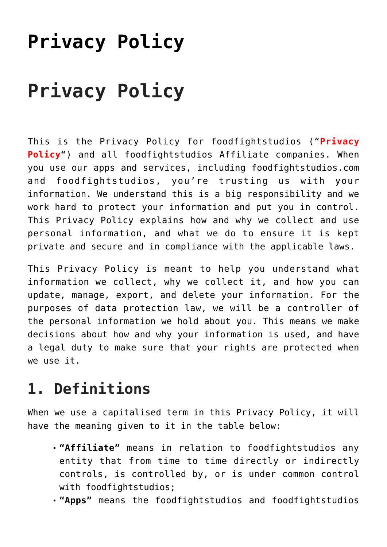## **[Privacy Policy](https://foodfightstudios.com/privacy-policy/)**

# **Privacy Policy**

This is the Privacy Policy for foodfightstudios ("**Privacy Policy**") and all foodfightstudios Affiliate companies. When you use our apps and services, including foodfightstudios.com and foodfightstudios, you're trusting us with your information. We understand this is a big responsibility and we work hard to protect your information and put you in control. This Privacy Policy explains how and why we collect and use personal information, and what we do to ensure it is kept private and secure and in compliance with the applicable laws.

This Privacy Policy is meant to help you understand what information we collect, why we collect it, and how you can update, manage, export, and delete your information. For the purposes of data protection law, we will be a controller of the personal information we hold about you. This means we make decisions about how and why your information is used, and have a legal duty to make sure that your rights are protected when we use it.

### **1. Definitions**

When we use a capitalised term in this Privacy Policy, it will have the meaning given to it in the table below:

- **"Affiliate"** means in relation to foodfightstudios any entity that from time to time directly or indirectly controls, is controlled by, or is under common control with foodfightstudios;
- **"Apps"** means the foodfightstudios and foodfightstudios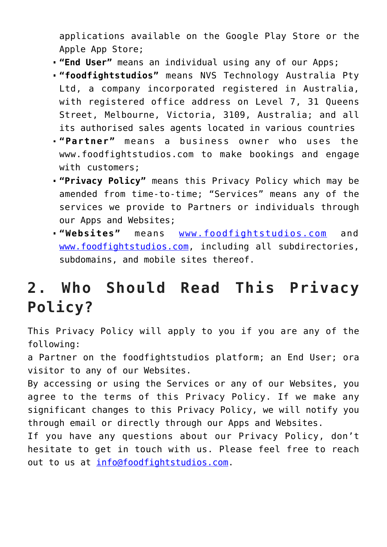applications available on the Google Play Store or the Apple App Store;

- **"End User"** means an individual using any of our Apps;
- **"foodfightstudios"** means NVS Technology Australia Pty Ltd, a company incorporated registered in Australia, with registered office address on Level 7, 31 Queens Street, Melbourne, Victoria, 3109, Australia; and all its authorised sales agents located in various countries
- **"Partner"** means a business owner who uses the www.foodfightstudios.com to make bookings and engage with customers;
- **"Privacy Policy"** means this Privacy Policy which may be amended from time-to-time; "Services" means any of the services we provide to Partners or individuals through our Apps and Websites;
- **"Websites"** means [www.foodfightstudios.com](https://www.foodfightstudios.com/) and [www.foodfightstudios.com](http://www.foodfightstudios.com/), including all subdirectories, subdomains, and mobile sites thereof.

## **2. Who Should Read This Privacy Policy?**

This Privacy Policy will apply to you if you are any of the following:

a Partner on the foodfightstudios platform; an End User; ora visitor to any of our Websites.

By accessing or using the Services or any of our Websites, you agree to the terms of this Privacy Policy. If we make any significant changes to this Privacy Policy, we will notify you through email or directly through our Apps and Websites.

If you have any questions about our Privacy Policy, don't hesitate to get in touch with us. Please feel free to reach out to us at [info@foodfightstudios.com](mailto:info@foodfightstudios.com).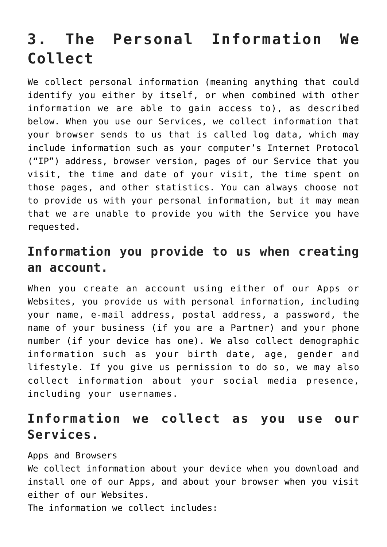### **3. The Personal Information We Collect**

We collect personal information (meaning anything that could identify you either by itself, or when combined with other information we are able to gain access to), as described below. When you use our Services, we collect information that your browser sends to us that is called log data, which may include information such as your computer's Internet Protocol ("IP") address, browser version, pages of our Service that you visit, the time and date of your visit, the time spent on those pages, and other statistics. You can always choose not to provide us with your personal information, but it may mean that we are unable to provide you with the Service you have requested.

### **Information you provide to us when creating an account.**

When you create an account using either of our Apps or Websites, you provide us with personal information, including your name, e-mail address, postal address, a password, the name of your business (if you are a Partner) and your phone number (if your device has one). We also collect demographic information such as your birth date, age, gender and lifestyle. If you give us permission to do so, we may also collect information about your social media presence, including your usernames.

### **Information we collect as you use our Services.**

#### Apps and Browsers

We collect information about your device when you download and install one of our Apps, and about your browser when you visit either of our Websites.

The information we collect includes: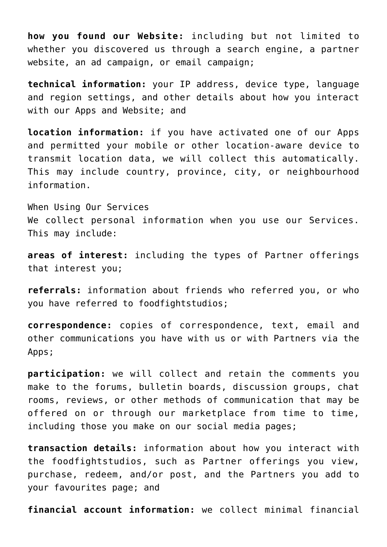**how you found our Website:** including but not limited to whether you discovered us through a search engine, a partner website, an ad campaign, or email campaign;

**technical information:** your IP address, device type, language and region settings, and other details about how you interact with our Apps and Website; and

**location information:** if you have activated one of our Apps and permitted your mobile or other location-aware device to transmit location data, we will collect this automatically. This may include country, province, city, or neighbourhood information.

When Using Our Services We collect personal information when you use our Services. This may include:

**areas of interest:** including the types of Partner offerings that interest you;

**referrals:** information about friends who referred you, or who you have referred to foodfightstudios;

**correspondence:** copies of correspondence, text, email and other communications you have with us or with Partners via the Apps;

**participation:** we will collect and retain the comments you make to the forums, bulletin boards, discussion groups, chat rooms, reviews, or other methods of communication that may be offered on or through our marketplace from time to time, including those you make on our social media pages;

**transaction details:** information about how you interact with the foodfightstudios, such as Partner offerings you view, purchase, redeem, and/or post, and the Partners you add to your favourites page; and

**financial account information:** we collect minimal financial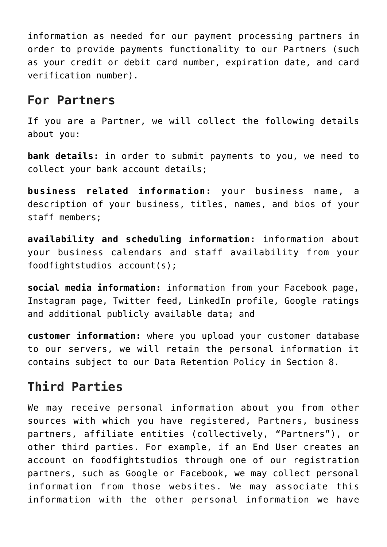information as needed for our payment processing partners in order to provide payments functionality to our Partners (such as your credit or debit card number, expiration date, and card verification number).

#### **For Partners**

If you are a Partner, we will collect the following details about you:

**bank details:** in order to submit payments to you, we need to collect your bank account details;

**business related information:** your business name, a description of your business, titles, names, and bios of your staff members;

**availability and scheduling information:** information about your business calendars and staff availability from your foodfightstudios account(s);

**social media information:** information from your Facebook page, Instagram page, Twitter feed, LinkedIn profile, Google ratings and additional publicly available data; and

**customer information:** where you upload your customer database to our servers, we will retain the personal information it contains subject to our Data Retention Policy in Section 8.

### **Third Parties**

We may receive personal information about you from other sources with which you have registered, Partners, business partners, affiliate entities (collectively, "Partners"), or other third parties. For example, if an End User creates an account on foodfightstudios through one of our registration partners, such as Google or Facebook, we may collect personal information from those websites. We may associate this information with the other personal information we have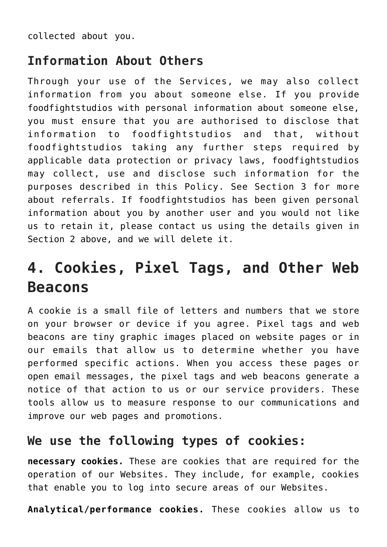collected about you.

#### **Information About Others**

Through your use of the Services, we may also collect information from you about someone else. If you provide foodfightstudios with personal information about someone else, you must ensure that you are authorised to disclose that information to foodfightstudios and that, without foodfightstudios taking any further steps required by applicable data protection or privacy laws, foodfightstudios may collect, use and disclose such information for the purposes described in this Policy. See Section 3 for more about referrals. If foodfightstudios has been given personal information about you by another user and you would not like us to retain it, please contact us using the details given in Section 2 above, and we will delete it.

### **4. Cookies, Pixel Tags, and Other Web Beacons**

A cookie is a small file of letters and numbers that we store on your browser or device if you agree. Pixel tags and web beacons are tiny graphic images placed on website pages or in our emails that allow us to determine whether you have performed specific actions. When you access these pages or open email messages, the pixel tags and web beacons generate a notice of that action to us or our service providers. These tools allow us to measure response to our communications and improve our web pages and promotions.

#### **We use the following types of cookies:**

**necessary cookies.** These are cookies that are required for the operation of our Websites. They include, for example, cookies that enable you to log into secure areas of our Websites.

**Analytical/performance cookies.** These cookies allow us to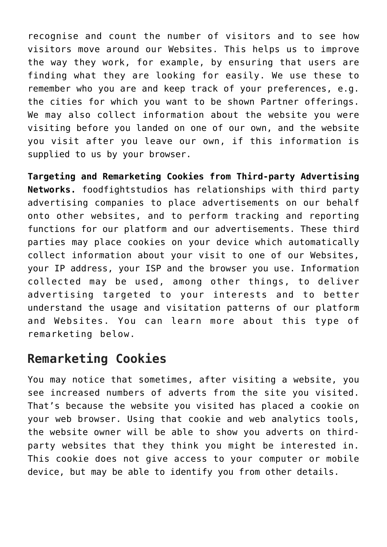recognise and count the number of visitors and to see how visitors move around our Websites. This helps us to improve the way they work, for example, by ensuring that users are finding what they are looking for easily. We use these to remember who you are and keep track of your preferences, e.g. the cities for which you want to be shown Partner offerings. We may also collect information about the website you were visiting before you landed on one of our own, and the website you visit after you leave our own, if this information is supplied to us by your browser.

**Targeting and Remarketing Cookies from Third-party Advertising Networks.** foodfightstudios has relationships with third party advertising companies to place advertisements on our behalf onto other websites, and to perform tracking and reporting functions for our platform and our advertisements. These third parties may place cookies on your device which automatically collect information about your visit to one of our Websites, your IP address, your ISP and the browser you use. Information collected may be used, among other things, to deliver advertising targeted to your interests and to better understand the usage and visitation patterns of our platform and Websites. You can learn more about this type of remarketing below.

#### **Remarketing Cookies**

You may notice that sometimes, after visiting a website, you see increased numbers of adverts from the site you visited. That's because the website you visited has placed a cookie on your web browser. Using that cookie and web analytics tools, the website owner will be able to show you adverts on thirdparty websites that they think you might be interested in. This cookie does not give access to your computer or mobile device, but may be able to identify you from other details.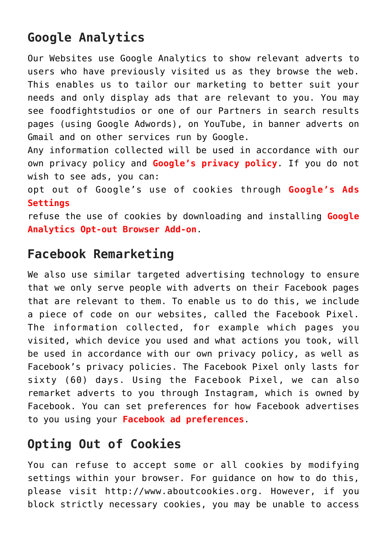### **Google Analytics**

Our Websites use Google Analytics to show relevant adverts to users who have previously visited us as they browse the web. This enables us to tailor our marketing to better suit your needs and only display ads that are relevant to you. You may see foodfightstudios or one of our Partners in search results pages (using Google Adwords), on YouTube, in banner adverts on Gmail and on other services run by Google.

Any information collected will be used in accordance with our own privacy policy and **Google's privacy policy**. If you do not wish to see ads, you can:

opt out of Google's use of cookies through **Google's Ads Settings**

refuse the use of cookies by downloading and installing **Google Analytics Opt-out Browser Add-on**.

### **Facebook Remarketing**

We also use similar targeted advertising technology to ensure that we only serve people with adverts on their Facebook pages that are relevant to them. To enable us to do this, we include a piece of code on our websites, called the Facebook Pixel. The information collected, for example which pages you visited, which device you used and what actions you took, will be used in accordance with our own privacy policy, as well as Facebook's privacy policies. The Facebook Pixel only lasts for sixty (60) days. Using the Facebook Pixel, we can also remarket adverts to you through Instagram, which is owned by Facebook. You can set preferences for how Facebook advertises to you using your **Facebook ad preferences**.

### **Opting Out of Cookies**

You can refuse to accept some or all cookies by modifying settings within your browser. For guidance on how to do this, please visit http://www.aboutcookies.org. However, if you block strictly necessary cookies, you may be unable to access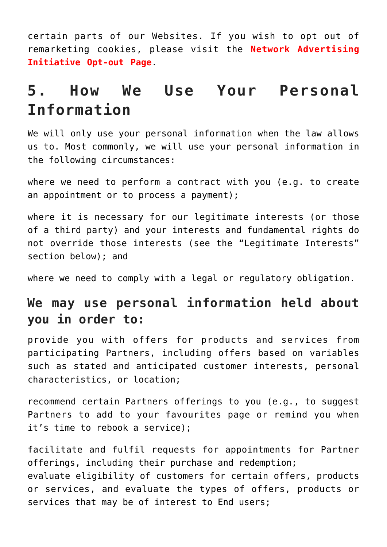certain parts of our Websites. If you wish to opt out of remarketing cookies, please visit the **Network Advertising Initiative Opt-out Page**.

### **5. How We Use Your Personal Information**

We will only use your personal information when the law allows us to. Most commonly, we will use your personal information in the following circumstances:

where we need to perform a contract with you (e.g. to create an appointment or to process a payment);

where it is necessary for our legitimate interests (or those of a third party) and your interests and fundamental rights do not override those interests (see the "Legitimate Interests" section below); and

where we need to comply with a legal or regulatory obligation.

### **We may use personal information held about you in order to:**

provide you with offers for products and services from participating Partners, including offers based on variables such as stated and anticipated customer interests, personal characteristics, or location;

recommend certain Partners offerings to you (e.g., to suggest Partners to add to your favourites page or remind you when it's time to rebook a service);

facilitate and fulfil requests for appointments for Partner offerings, including their purchase and redemption; evaluate eligibility of customers for certain offers, products or services, and evaluate the types of offers, products or services that may be of interest to End users;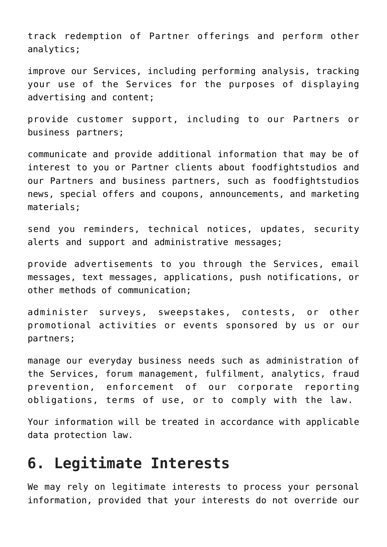track redemption of Partner offerings and perform other analytics;

improve our Services, including performing analysis, tracking your use of the Services for the purposes of displaying advertising and content;

provide customer support, including to our Partners or business partners;

communicate and provide additional information that may be of interest to you or Partner clients about foodfightstudios and our Partners and business partners, such as foodfightstudios news, special offers and coupons, announcements, and marketing materials;

send you reminders, technical notices, updates, security alerts and support and administrative messages;

provide advertisements to you through the Services, email messages, text messages, applications, push notifications, or other methods of communication;

administer surveys, sweepstakes, contests, or other promotional activities or events sponsored by us or our partners;

manage our everyday business needs such as administration of the Services, forum management, fulfilment, analytics, fraud prevention, enforcement of our corporate reporting obligations, terms of use, or to comply with the law.

Your information will be treated in accordance with applicable data protection law.

### **6. Legitimate Interests**

We may rely on legitimate interests to process your personal information, provided that your interests do not override our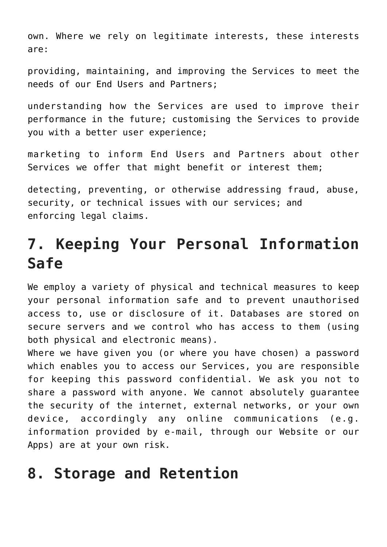own. Where we rely on legitimate interests, these interests are:

providing, maintaining, and improving the Services to meet the needs of our End Users and Partners;

understanding how the Services are used to improve their performance in the future; customising the Services to provide you with a better user experience;

marketing to inform End Users and Partners about other Services we offer that might benefit or interest them;

detecting, preventing, or otherwise addressing fraud, abuse, security, or technical issues with our services; and enforcing legal claims.

### **7. Keeping Your Personal Information Safe**

We employ a variety of physical and technical measures to keep your personal information safe and to prevent unauthorised access to, use or disclosure of it. Databases are stored on secure servers and we control who has access to them (using both physical and electronic means).

Where we have given you (or where you have chosen) a password which enables you to access our Services, you are responsible for keeping this password confidential. We ask you not to share a password with anyone. We cannot absolutely guarantee the security of the internet, external networks, or your own device, accordingly any online communications (e.g. information provided by e-mail, through our Website or our Apps) are at your own risk.

### **8. Storage and Retention**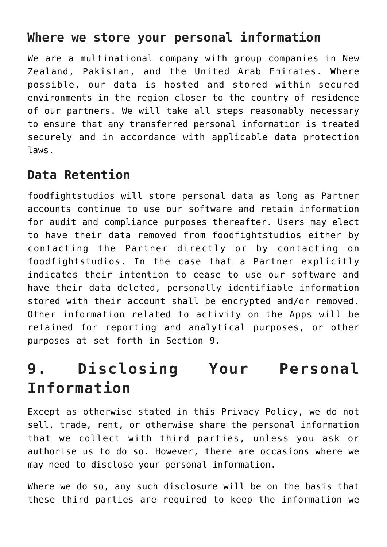#### **Where we store your personal information**

We are a multinational company with group companies in New Zealand, Pakistan, and the United Arab Emirates. Where possible, our data is hosted and stored within secured environments in the region closer to the country of residence of our partners. We will take all steps reasonably necessary to ensure that any transferred personal information is treated securely and in accordance with applicable data protection laws.

#### **Data Retention**

foodfightstudios will store personal data as long as Partner accounts continue to use our software and retain information for audit and compliance purposes thereafter. Users may elect to have their data removed from foodfightstudios either by contacting the Partner directly or by contacting on foodfightstudios. In the case that a Partner explicitly indicates their intention to cease to use our software and have their data deleted, personally identifiable information stored with their account shall be encrypted and/or removed. Other information related to activity on the Apps will be retained for reporting and analytical purposes, or other purposes at set forth in Section 9.

### **9. Disclosing Your Personal Information**

Except as otherwise stated in this Privacy Policy, we do not sell, trade, rent, or otherwise share the personal information that we collect with third parties, unless you ask or authorise us to do so. However, there are occasions where we may need to disclose your personal information.

Where we do so, any such disclosure will be on the basis that these third parties are required to keep the information we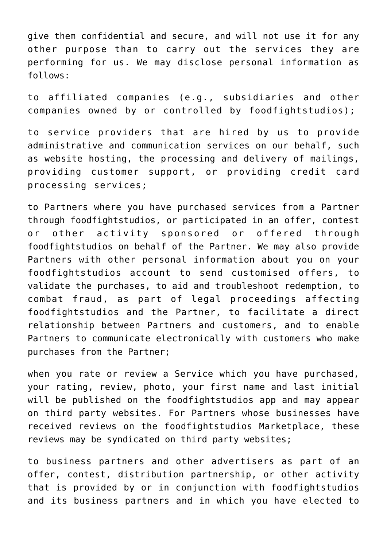give them confidential and secure, and will not use it for any other purpose than to carry out the services they are performing for us. We may disclose personal information as follows:

to affiliated companies (e.g., subsidiaries and other companies owned by or controlled by foodfightstudios);

to service providers that are hired by us to provide administrative and communication services on our behalf, such as website hosting, the processing and delivery of mailings, providing customer support, or providing credit card processing services;

to Partners where you have purchased services from a Partner through foodfightstudios, or participated in an offer, contest or other activity sponsored or offered through foodfightstudios on behalf of the Partner. We may also provide Partners with other personal information about you on your foodfightstudios account to send customised offers, to validate the purchases, to aid and troubleshoot redemption, to combat fraud, as part of legal proceedings affecting foodfightstudios and the Partner, to facilitate a direct relationship between Partners and customers, and to enable Partners to communicate electronically with customers who make purchases from the Partner;

when you rate or review a Service which you have purchased, your rating, review, photo, your first name and last initial will be published on the foodfightstudios app and may appear on third party websites. For Partners whose businesses have received reviews on the foodfightstudios Marketplace, these reviews may be syndicated on third party websites;

to business partners and other advertisers as part of an offer, contest, distribution partnership, or other activity that is provided by or in conjunction with foodfightstudios and its business partners and in which you have elected to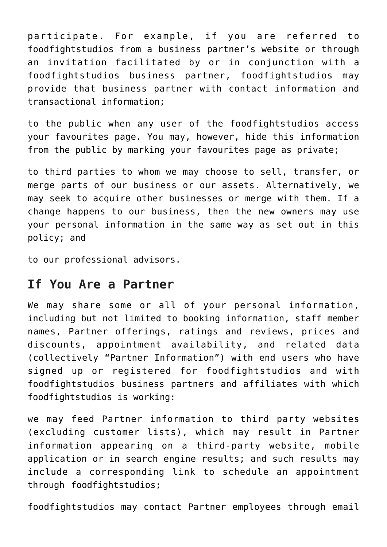participate. For example, if you are referred to foodfightstudios from a business partner's website or through an invitation facilitated by or in conjunction with a foodfightstudios business partner, foodfightstudios may provide that business partner with contact information and transactional information;

to the public when any user of the foodfightstudios access your favourites page. You may, however, hide this information from the public by marking your favourites page as private;

to third parties to whom we may choose to sell, transfer, or merge parts of our business or our assets. Alternatively, we may seek to acquire other businesses or merge with them. If a change happens to our business, then the new owners may use your personal information in the same way as set out in this policy; and

to our professional advisors.

#### **If You Are a Partner**

We may share some or all of your personal information, including but not limited to booking information, staff member names, Partner offerings, ratings and reviews, prices and discounts, appointment availability, and related data (collectively "Partner Information") with end users who have signed up or registered for foodfightstudios and with foodfightstudios business partners and affiliates with which foodfightstudios is working:

we may feed Partner information to third party websites (excluding customer lists), which may result in Partner information appearing on a third-party website, mobile application or in search engine results; and such results may include a corresponding link to schedule an appointment through foodfightstudios;

foodfightstudios may contact Partner employees through email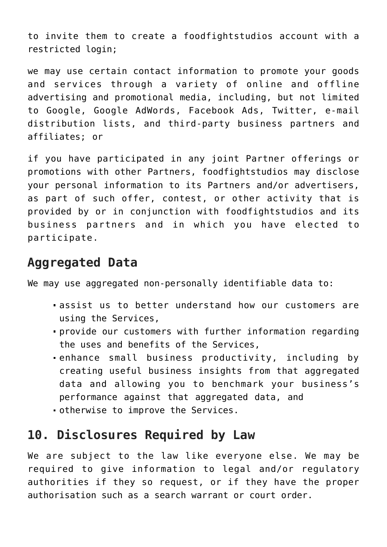to invite them to create a foodfightstudios account with a restricted login;

we may use certain contact information to promote your goods and services through a variety of online and offline advertising and promotional media, including, but not limited to Google, Google AdWords, Facebook Ads, Twitter, e-mail distribution lists, and third-party business partners and affiliates; or

if you have participated in any joint Partner offerings or promotions with other Partners, foodfightstudios may disclose your personal information to its Partners and/or advertisers, as part of such offer, contest, or other activity that is provided by or in conjunction with foodfightstudios and its business partners and in which you have elected to participate.

#### **Aggregated Data**

We may use aggregated non-personally identifiable data to:

- assist us to better understand how our customers are using the Services,
- provide our customers with further information regarding the uses and benefits of the Services,
- enhance small business productivity, including by creating useful business insights from that aggregated data and allowing you to benchmark your business's performance against that aggregated data, and
- otherwise to improve the Services.

### **10. Disclosures Required by Law**

We are subject to the law like everyone else. We may be required to give information to legal and/or regulatory authorities if they so request, or if they have the proper authorisation such as a search warrant or court order.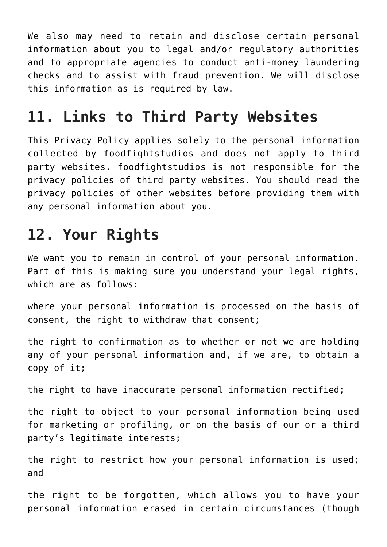We also may need to retain and disclose certain personal information about you to legal and/or regulatory authorities and to appropriate agencies to conduct anti-money laundering checks and to assist with fraud prevention. We will disclose this information as is required by law.

### **11. Links to Third Party Websites**

This Privacy Policy applies solely to the personal information collected by foodfightstudios and does not apply to third party websites. foodfightstudios is not responsible for the privacy policies of third party websites. You should read the privacy policies of other websites before providing them with any personal information about you.

### **12. Your Rights**

We want you to remain in control of your personal information. Part of this is making sure you understand your legal rights, which are as follows:

where your personal information is processed on the basis of consent, the right to withdraw that consent;

the right to confirmation as to whether or not we are holding any of your personal information and, if we are, to obtain a copy of it;

the right to have inaccurate personal information rectified;

the right to object to your personal information being used for marketing or profiling, or on the basis of our or a third party's legitimate interests;

the right to restrict how your personal information is used; and

the right to be forgotten, which allows you to have your personal information erased in certain circumstances (though